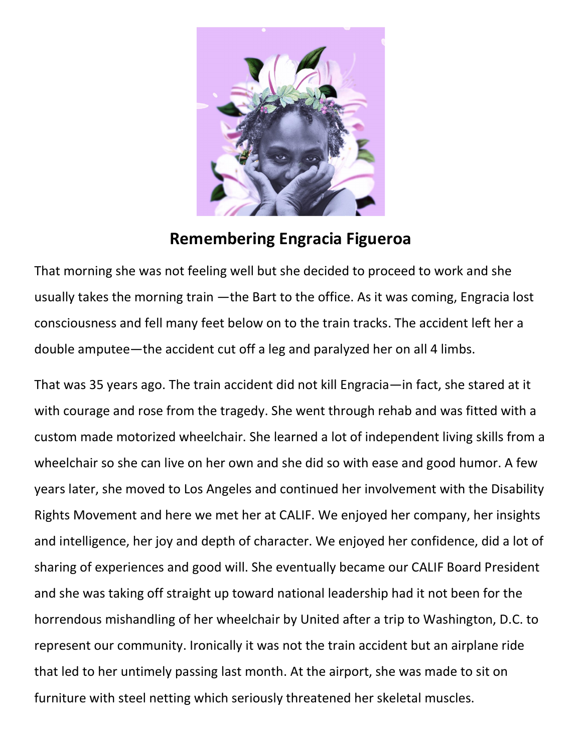

## Remembering Engracia Figueroa

That morning she was not feeling well but she decided to proceed to work and she usually takes the morning train —the Bart to the office. As it was coming, Engracia lost consciousness and fell many feet below on to the train tracks. The accident left her a double amputee—the accident cut off a leg and paralyzed her on all 4 limbs.

That was 35 years ago. The train accident did not kill Engracia—in fact, she stared at it with courage and rose from the tragedy. She went through rehab and was fitted with a custom made motorized wheelchair. She learned a lot of independent living skills from a wheelchair so she can live on her own and she did so with ease and good humor. A few years later, she moved to Los Angeles and continued her involvement with the Disability Rights Movement and here we met her at CALIF. We enjoyed her company, her insights and intelligence, her joy and depth of character. We enjoyed her confidence, did a lot of sharing of experiences and good will. She eventually became our CALIF Board President and she was taking off straight up toward national leadership had it not been for the horrendous mishandling of her wheelchair by United after a trip to Washington, D.C. to represent our community. Ironically it was not the train accident but an airplane ride that led to her untimely passing last month. At the airport, she was made to sit on furniture with steel netting which seriously threatened her skeletal muscles.